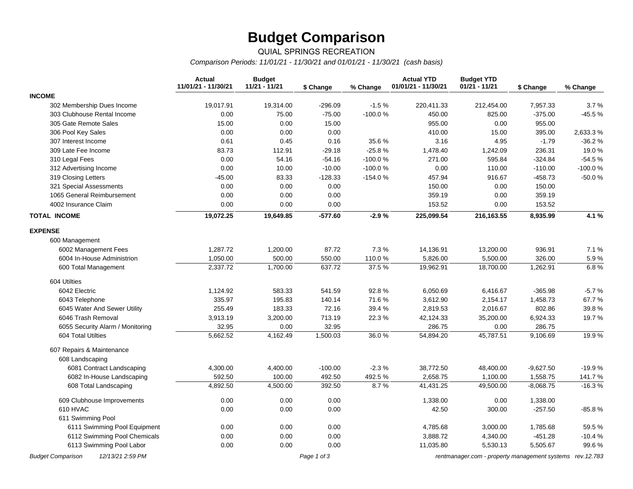## **Budget Comparison**

### QUIAL SPRINGS RECREATION

*Comparison Periods: 11/01/21 - 11/30/21 and 01/01/21 - 11/30/21 (cash basis)*

|                                              | <b>Actual</b><br>11/01/21 - 11/30/21 | <b>Budget</b><br>11/21 - 11/21 | \$ Change   | % Change  | <b>Actual YTD</b><br>01/01/21 - 11/30/21 | <b>Budget YTD</b><br>01/21 - 11/21                       | \$ Change   | % Change |
|----------------------------------------------|--------------------------------------|--------------------------------|-------------|-----------|------------------------------------------|----------------------------------------------------------|-------------|----------|
| <b>INCOME</b>                                |                                      |                                |             |           |                                          |                                                          |             |          |
| 302 Membership Dues Income                   | 19,017.91                            | 19,314.00                      | $-296.09$   | $-1.5%$   | 220,411.33                               | 212,454.00                                               | 7,957.33    | 3.7%     |
| 303 Clubhouse Rental Income                  | 0.00                                 | 75.00                          | $-75.00$    | -100.0%   | 450.00                                   | 825.00                                                   | $-375.00$   | $-45.5%$ |
| 305 Gate Remote Sales                        | 15.00                                | 0.00                           | 15.00       |           | 955.00                                   | 0.00                                                     | 955.00      |          |
| 306 Pool Key Sales                           | 0.00                                 | 0.00                           | 0.00        |           | 410.00                                   | 15.00                                                    | 395.00      | 2,633.3% |
| 307 Interest Income                          | 0.61                                 | 0.45                           | 0.16        | 35.6%     | 3.16                                     | 4.95                                                     | $-1.79$     | $-36.2%$ |
| 309 Late Fee Income                          | 83.73                                | 112.91                         | $-29.18$    | $-25.8%$  | 1,478.40                                 | 1,242.09                                                 | 236.31      | 19.0%    |
| 310 Legal Fees                               | 0.00                                 | 54.16                          | $-54.16$    | -100.0%   | 271.00                                   | 595.84                                                   | $-324.84$   | $-54.5%$ |
| 312 Advertising Income                       | 0.00                                 | 10.00                          | $-10.00$    | $-100.0%$ | 0.00                                     | 110.00                                                   | $-110.00$   | -100.0%  |
| 319 Closing Letters                          | $-45.00$                             | 83.33                          | $-128.33$   | $-154.0%$ | 457.94                                   | 916.67                                                   | $-458.73$   | $-50.0%$ |
| 321 Special Assessments                      | 0.00                                 | 0.00                           | 0.00        |           | 150.00                                   | 0.00                                                     | 150.00      |          |
| 1065 General Reimbursement                   | 0.00                                 | 0.00                           | 0.00        |           | 359.19                                   | 0.00                                                     | 359.19      |          |
| 4002 Insurance Claim                         | 0.00                                 | 0.00                           | 0.00        |           | 153.52                                   | 0.00                                                     | 153.52      |          |
| <b>TOTAL INCOME</b>                          | 19,072.25                            | 19,649.85                      | $-577.60$   | $-2.9%$   | 225,099.54                               | 216,163.55                                               | 8,935.99    | 4.1 %    |
| <b>EXPENSE</b>                               |                                      |                                |             |           |                                          |                                                          |             |          |
| 600 Management                               |                                      |                                |             |           |                                          |                                                          |             |          |
| 6002 Management Fees                         | 1,287.72                             | 1,200.00                       | 87.72       | 7.3%      | 14,136.91                                | 13,200.00                                                | 936.91      | 7.1%     |
| 6004 In-House Administrion                   | 1,050.00                             | 500.00                         | 550.00      | 110.0%    | 5,826.00                                 | 5,500.00                                                 | 326.00      | 5.9%     |
| 600 Total Management                         | 2,337.72                             | 1,700.00                       | 637.72      | 37.5%     | 19,962.91                                | 18,700.00                                                | 1,262.91    | 6.8%     |
| 604 Utilties                                 |                                      |                                |             |           |                                          |                                                          |             |          |
| 6042 Electric                                | 1,124.92                             | 583.33                         | 541.59      | 92.8%     | 6,050.69                                 | 6,416.67                                                 | $-365.98$   | $-5.7%$  |
| 6043 Telephone                               | 335.97                               | 195.83                         | 140.14      | 71.6%     | 3,612.90                                 | 2,154.17                                                 | 1,458.73    | 67.7%    |
| 6045 Water And Sewer Utility                 | 255.49                               | 183.33                         | 72.16       | 39.4%     | 2,819.53                                 | 2,016.67                                                 | 802.86      | 39.8%    |
| 6046 Trash Removal                           | 3,913.19                             | 3,200.00                       | 713.19      | 22.3%     | 42,124.33                                | 35,200.00                                                | 6,924.33    | 19.7%    |
| 6055 Security Alarm / Monitoring             | 32.95                                | 0.00                           | 32.95       |           | 286.75                                   | 0.00                                                     | 286.75      |          |
| 604 Total Utilties                           | 5,662.52                             | 4,162.49                       | 1,500.03    | 36.0%     | 54,894.20                                | 45,787.51                                                | 9,106.69    | 19.9%    |
| 607 Repairs & Maintenance                    |                                      |                                |             |           |                                          |                                                          |             |          |
| 608 Landscaping                              |                                      |                                |             |           |                                          |                                                          |             |          |
| 6081 Contract Landscaping                    | 4,300.00                             | 4,400.00                       | $-100.00$   | $-2.3%$   | 38,772.50                                | 48,400.00                                                | $-9,627.50$ | $-19.9%$ |
| 6082 In-House Landscaping                    | 592.50                               | 100.00                         | 492.50      | 492.5%    | 2,658.75                                 | 1,100.00                                                 | 1,558.75    | 141.7%   |
| 608 Total Landscaping                        | 4,892.50                             | 4,500.00                       | 392.50      | 8.7%      | 41,431.25                                | 49,500.00                                                | $-8,068.75$ | $-16.3%$ |
| 609 Clubhouse Improvements                   | 0.00                                 | 0.00                           | 0.00        |           | 1,338.00                                 | 0.00                                                     | 1,338.00    |          |
| 610 HVAC                                     | 0.00                                 | 0.00                           | 0.00        |           | 42.50                                    | 300.00                                                   | $-257.50$   | $-85.8%$ |
| 611 Swimming Pool                            |                                      |                                |             |           |                                          |                                                          |             |          |
| 6111 Swimming Pool Equipment                 | 0.00                                 | 0.00                           | 0.00        |           | 4,785.68                                 | 3,000.00                                                 | 1,785.68    | 59.5%    |
| 6112 Swimming Pool Chemicals                 | 0.00                                 | 0.00                           | 0.00        |           | 3,888.72                                 | 4,340.00                                                 | $-451.28$   | $-10.4%$ |
| 6113 Swimming Pool Labor                     | 0.00                                 | 0.00                           | 0.00        |           | 11,035.80                                | 5,530.13                                                 | 5,505.67    | 99.6%    |
| 12/13/21 2:59 PM<br><b>Budget Comparison</b> |                                      |                                | Page 1 of 3 |           |                                          | rentmanager.com - property management systems rev.12.783 |             |          |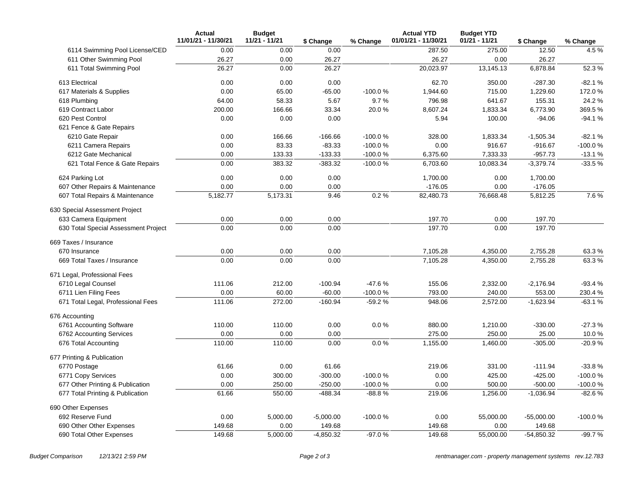|                                      | <b>Actual</b><br>11/01/21 - 11/30/21 | <b>Budget</b><br>11/21 - 11/21 | \$ Change   | % Change  | <b>Actual YTD</b><br>01/01/21 - 11/30/21 | <b>Budget YTD</b><br>01/21 - 11/21 | \$ Change    | % Change  |
|--------------------------------------|--------------------------------------|--------------------------------|-------------|-----------|------------------------------------------|------------------------------------|--------------|-----------|
| 6114 Swimming Pool License/CED       | 0.00                                 | 0.00                           | 0.00        |           | 287.50                                   | 275.00                             | 12.50        | 4.5%      |
| 611 Other Swimming Pool              | 26.27                                | 0.00                           | 26.27       |           | 26.27                                    | 0.00                               | 26.27        |           |
| 611 Total Swimming Pool              | 26.27                                | 0.00                           | 26.27       |           | 20,023.97                                | 13,145.13                          | 6,878.84     | 52.3%     |
| 613 Electrical                       | 0.00                                 | 0.00                           | 0.00        |           | 62.70                                    | 350.00                             | $-287.30$    | $-82.1%$  |
| 617 Materials & Supplies             | 0.00                                 | 65.00                          | $-65.00$    | -100.0%   | 1,944.60                                 | 715.00                             | 1,229.60     | 172.0%    |
| 618 Plumbing                         | 64.00                                | 58.33                          | 5.67        | 9.7%      | 796.98                                   | 641.67                             | 155.31       | 24.2 %    |
| 619 Contract Labor                   | 200.00                               | 166.66                         | 33.34       | 20.0%     | 8.607.24                                 | 1,833.34                           | 6,773.90     | 369.5%    |
| 620 Pest Control                     | 0.00                                 | 0.00                           | 0.00        |           | 5.94                                     | 100.00                             | $-94.06$     | $-94.1%$  |
| 621 Fence & Gate Repairs             |                                      |                                |             |           |                                          |                                    |              |           |
| 6210 Gate Repair                     | 0.00                                 | 166.66                         | $-166.66$   | $-100.0%$ | 328.00                                   | 1,833.34                           | $-1,505.34$  | $-82.1%$  |
| 6211 Camera Repairs                  | 0.00                                 | 83.33                          | $-83.33$    | $-100.0%$ | 0.00                                     | 916.67                             | $-916.67$    | $-100.0%$ |
| 6212 Gate Mechanical                 | 0.00                                 | 133.33                         | $-133.33$   | $-100.0%$ | 6,375.60                                 | 7,333.33                           | $-957.73$    | $-13.1%$  |
| 621 Total Fence & Gate Repairs       | 0.00                                 | 383.32                         | $-383.32$   | $-100.0%$ | 6,703.60                                 | 10,083.34                          | $-3,379.74$  | $-33.5%$  |
| 624 Parking Lot                      | 0.00                                 | 0.00                           | 0.00        |           | 1,700.00                                 | 0.00                               | 1,700.00     |           |
| 607 Other Repairs & Maintenance      | 0.00                                 | 0.00                           | 0.00        |           | $-176.05$                                | 0.00                               | $-176.05$    |           |
| 607 Total Repairs & Maintenance      | 5,182.77                             | 5,173.31                       | 9.46        | 0.2%      | 82,480.73                                | 76,668.48                          | 5,812.25     | 7.6%      |
| 630 Special Assessment Project       |                                      |                                |             |           |                                          |                                    |              |           |
| 633 Camera Equipment                 | 0.00                                 | 0.00                           | 0.00        |           | 197.70                                   | 0.00                               | 197.70       |           |
| 630 Total Special Assessment Project | 0.00                                 | 0.00                           | 0.00        |           | 197.70                                   | 0.00                               | 197.70       |           |
| 669 Taxes / Insurance                |                                      |                                |             |           |                                          |                                    |              |           |
| 670 Insurance                        | 0.00                                 | 0.00                           | 0.00        |           | 7,105.28                                 | 4,350.00                           | 2,755.28     | 63.3%     |
| 669 Total Taxes / Insurance          | 0.00                                 | 0.00                           | 0.00        |           | 7,105.28                                 | 4,350.00                           | 2,755.28     | 63.3%     |
| 671 Legal, Professional Fees         |                                      |                                |             |           |                                          |                                    |              |           |
| 6710 Legal Counsel                   | 111.06                               | 212.00                         | $-100.94$   | $-47.6%$  | 155.06                                   | 2,332.00                           | $-2,176.94$  | $-93.4%$  |
| 6711 Lien Filing Fees                | 0.00                                 | 60.00                          | $-60.00$    | $-100.0%$ | 793.00                                   | 240.00                             | 553.00       | 230.4 %   |
| 671 Total Legal, Professional Fees   | 111.06                               | 272.00                         | $-160.94$   | $-59.2%$  | 948.06                                   | 2,572.00                           | $-1,623.94$  | $-63.1%$  |
| 676 Accounting                       |                                      |                                |             |           |                                          |                                    |              |           |
| 6761 Accounting Software             | 110.00                               | 110.00                         | 0.00        | 0.0%      | 880.00                                   | 1,210.00                           | $-330.00$    | $-27.3%$  |
| 6762 Accounting Services             | 0.00                                 | 0.00                           | 0.00        |           | 275.00                                   | 250.00                             | 25.00        | 10.0%     |
| 676 Total Accounting                 | 110.00                               | 110.00                         | 0.00        | 0.0%      | 1,155.00                                 | 1,460.00                           | $-305.00$    | $-20.9%$  |
| 677 Printing & Publication           |                                      |                                |             |           |                                          |                                    |              |           |
| 6770 Postage                         | 61.66                                | 0.00                           | 61.66       |           | 219.06                                   | 331.00                             | $-111.94$    | $-33.8%$  |
| 6771 Copy Services                   | 0.00                                 | 300.00                         | $-300.00$   | $-100.0%$ | 0.00                                     | 425.00                             | $-425.00$    | $-100.0%$ |
| 677 Other Printing & Publication     | 0.00                                 | 250.00                         | $-250.00$   | $-100.0%$ | 0.00                                     | 500.00                             | $-500.00$    | $-100.0%$ |
| 677 Total Printing & Publication     | 61.66                                | 550.00                         | $-488.34$   | $-88.8%$  | 219.06                                   | 1,256.00                           | $-1,036.94$  | $-82.6%$  |
| 690 Other Expenses                   |                                      |                                |             |           |                                          |                                    |              |           |
| 692 Reserve Fund                     | 0.00                                 | 5,000.00                       | $-5,000.00$ | $-100.0%$ | 0.00                                     | 55,000.00                          | $-55,000.00$ | $-100.0%$ |
| 690 Other Other Expenses             | 149.68                               | 0.00                           | 149.68      |           | 149.68                                   | 0.00                               | 149.68       |           |
| 690 Total Other Expenses             | 149.68                               | 5,000.00                       | $-4,850.32$ | $-97.0%$  | 149.68                                   | 55,000.00                          | $-54,850.32$ | -99.7%    |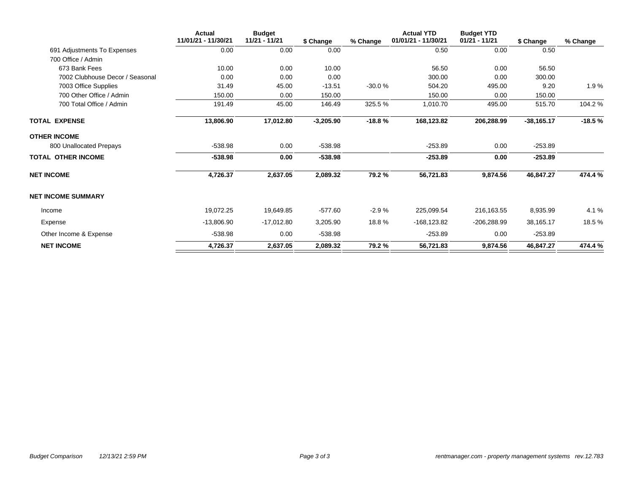|                                 | <b>Actual</b><br>11/01/21 - 11/30/21 | <b>Budget</b><br>11/21 - 11/21 | \$ Change   | % Change | <b>Actual YTD</b><br>01/01/21 - 11/30/21 | <b>Budget YTD</b><br>$01/21 - 11/21$ | \$ Change    | % Change |
|---------------------------------|--------------------------------------|--------------------------------|-------------|----------|------------------------------------------|--------------------------------------|--------------|----------|
| 691 Adjustments To Expenses     | 0.00                                 | 0.00                           | 0.00        |          | 0.50                                     | 0.00                                 | 0.50         |          |
| 700 Office / Admin              |                                      |                                |             |          |                                          |                                      |              |          |
| 673 Bank Fees                   | 10.00                                | 0.00                           | 10.00       |          | 56.50                                    | 0.00                                 | 56.50        |          |
| 7002 Clubhouse Decor / Seasonal | 0.00                                 | 0.00                           | 0.00        |          | 300.00                                   | 0.00                                 | 300.00       |          |
| 7003 Office Supplies            | 31.49                                | 45.00                          | $-13.51$    | $-30.0%$ | 504.20                                   | 495.00                               | 9.20         | 1.9%     |
| 700 Other Office / Admin        | 150.00                               | 0.00                           | 150.00      |          | 150.00                                   | 0.00                                 | 150.00       |          |
| 700 Total Office / Admin        | 191.49                               | 45.00                          | 146.49      | 325.5%   | 1,010.70                                 | 495.00                               | 515.70       | 104.2 %  |
| TOTAL EXPENSE                   | 13,806.90                            | 17,012.80                      | $-3,205.90$ | $-18.8%$ | 168,123.82                               | 206,288.99                           | $-38,165.17$ | $-18.5%$ |
| OTHER INCOME                    |                                      |                                |             |          |                                          |                                      |              |          |
| 800 Unallocated Prepays         | $-538.98$                            | 0.00                           | $-538.98$   |          | $-253.89$                                | 0.00                                 | $-253.89$    |          |
| TOTAL OTHER INCOME              | $-538.98$                            | 0.00                           | -538.98     |          | $-253.89$                                | 0.00                                 | $-253.89$    |          |
| <b>NET INCOME</b>               | 4,726.37                             | 2,637.05                       | 2,089.32    | 79.2%    | 56,721.83                                | 9,874.56                             | 46,847.27    | 474.4 %  |
| <b>NET INCOME SUMMARY</b>       |                                      |                                |             |          |                                          |                                      |              |          |
| Income                          | 19,072.25                            | 19,649.85                      | $-577.60$   | $-2.9%$  | 225,099.54                               | 216,163.55                           | 8,935.99     | 4.1 %    |
| Expense                         | $-13,806.90$                         | $-17,012.80$                   | 3,205.90    | 18.8%    | -168,123.82                              | $-206,288.99$                        | 38,165.17    | 18.5%    |
| Other Income & Expense          | $-538.98$                            | 0.00                           | $-538.98$   |          | $-253.89$                                | 0.00                                 | $-253.89$    |          |
| <b>NET INCOME</b>               | 4,726.37                             | 2,637.05                       | 2,089.32    | 79.2%    | 56,721.83                                | 9,874.56                             | 46,847.27    | 474.4 %  |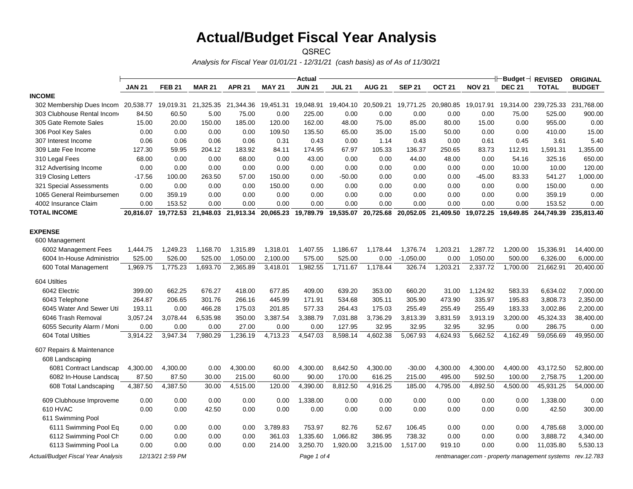## **Actual/Budget Fiscal Year Analysis**

QSREC

*Analysis for Fiscal Year 01/01/21 - 12/31/21 (cash basis) as of As of 11/30/21*

|                                     |               |                  |                               |               |                     | <b>Actual</b> |                     |               |               |               |               | $+\vdash$ Budget $+$ | <b>REVISED</b>                                | <b>ORIGINAL</b> |
|-------------------------------------|---------------|------------------|-------------------------------|---------------|---------------------|---------------|---------------------|---------------|---------------|---------------|---------------|----------------------|-----------------------------------------------|-----------------|
|                                     | <b>JAN 21</b> | <b>FEB 21</b>    | <b>MAR 21</b>                 | <b>APR 21</b> | <b>MAY 21</b>       | <b>JUN 21</b> | <b>JUL 21</b>       | <b>AUG 21</b> | <b>SEP 21</b> | <b>OCT 21</b> | <b>NOV 21</b> | <b>DEC 21</b>        | <b>TOTAL</b>                                  | <b>BUDGET</b>   |
| <b>INCOME</b>                       |               |                  |                               |               |                     |               |                     |               |               |               |               |                      |                                               |                 |
| 302 Membership Dues Incom 20,538.77 |               | 19,019.31        | 21,325.35                     |               | 21,344.36 19,451.31 | 19,048.91     | 19,404.10 20,509.21 |               | 19,771.25     | 20,980.85     |               | 19,017.91  19,314.00 | 239,725.33 231,768.00                         |                 |
| 303 Clubhouse Rental Income         | 84.50         | 60.50            | 5.00                          | 75.00         | 0.00                | 225.00        | 0.00                | 0.00          | 0.00          | 0.00          | 0.00          | 75.00                | 525.00                                        | 900.00          |
| 305 Gate Remote Sales               | 15.00         | 20.00            | 150.00                        | 185.00        | 120.00              | 162.00        | 48.00               | 75.00         | 85.00         | 80.00         | 15.00         | 0.00                 | 955.00                                        | 0.00            |
| 306 Pool Key Sales                  | 0.00          | 0.00             | 0.00                          | 0.00          | 109.50              | 135.50        | 65.00               | 35.00         | 15.00         | 50.00         | 0.00          | 0.00                 | 410.00                                        | 15.00           |
| 307 Interest Income                 | 0.06          | 0.06             | 0.06                          | 0.06          | 0.31                | 0.43          | 0.00                | 1.14          | 0.43          | 0.00          | 0.61          | 0.45                 | 3.61                                          | 5.40            |
| 309 Late Fee Income                 | 127.30        | 59.95            | 204.12                        | 183.92        | 84.11               | 174.95        | 67.97               | 105.33        | 136.37        | 250.65        | 83.73         | 112.91               | 1,591.31                                      | 1,355.00        |
| 310 Legal Fees                      | 68.00         | 0.00             | 0.00                          | 68.00         | 0.00                | 43.00         | 0.00                | 0.00          | 44.00         | 48.00         | 0.00          | 54.16                | 325.16                                        | 650.00          |
| 312 Advertising Income              | 0.00          | 0.00             | 0.00                          | 0.00          | 0.00                | 0.00          | 0.00                | 0.00          | 0.00          | 0.00          | 0.00          | 10.00                | 10.00                                         | 120.00          |
| 319 Closing Letters                 | $-17.56$      | 100.00           | 263.50                        | 57.00         | 150.00              | 0.00          | $-50.00$            | 0.00          | 0.00          | 0.00          | $-45.00$      | 83.33                | 541.27                                        | 1,000.00        |
| 321 Special Assessments             | 0.00          | 0.00             | 0.00                          | 0.00          | 150.00              | 0.00          | 0.00                | 0.00          | 0.00          | 0.00          | 0.00          | 0.00                 | 150.00                                        | 0.00            |
| 1065 General Reimbursemen           | 0.00          | 359.19           | 0.00                          | 0.00          | 0.00                | 0.00          | 0.00                | 0.00          | 0.00          | 0.00          | 0.00          | 0.00                 | 359.19                                        | 0.00            |
| 4002 Insurance Claim                | 0.00          | 153.52           | 0.00                          | 0.00          | 0.00                | 0.00          | 0.00                | 0.00          | 0.00          | 0.00          | 0.00          | 0.00                 | 153.52                                        | 0.00            |
| <b>TOTAL INCOME</b>                 |               |                  | 20,816.07 19,772.53 21,948.03 | 21,913.34     | 20,065.23           |               |                     | 20,725.68     | 20,052.05     | 21,409.50     |               |                      | 19,072.25 19,649.85 244,749.39                | 235,813.40      |
| <b>EXPENSE</b>                      |               |                  |                               |               |                     |               |                     |               |               |               |               |                      |                                               |                 |
| 600 Management                      |               |                  |                               |               |                     |               |                     |               |               |               |               |                      |                                               |                 |
| 6002 Management Fees                | 1,444.75      | 1,249.23         | 1,168.70                      | 1,315.89      | 1,318.01            | 1,407.55      | 1,186.67            | 1,178.44      | 1,376.74      | 1,203.21      | 1,287.72      | 1,200.00             | 15,336.91                                     | 14,400.00       |
| 6004 In-House Administrior          | 525.00        | 526.00           | 525.00                        | 1,050.00      | 2,100.00            | 575.00        | 525.00              | 0.00          | $-1,050.00$   | 0.00          | 1,050.00      | 500.00               | 6,326.00                                      | 6,000.00        |
| 600 Total Management                | 1,969.75      | 1,775.23         | 1,693.70                      | 2,365.89      | 3,418.01            | 1,982.55      | 1,711.67            | 1,178.44      | 326.74        | 1,203.21      | 2,337.72      | 1,700.00             | 21,662.91                                     | 20,400.00       |
| 604 Utilties                        |               |                  |                               |               |                     |               |                     |               |               |               |               |                      |                                               |                 |
| 6042 Electric                       | 399.00        | 662.25           | 676.27                        | 418.00        | 677.85              | 409.00        | 639.20              | 353.00        | 660.20        | 31.00         | 1,124.92      | 583.33               | 6,634.02                                      | 7,000.00        |
| 6043 Telephone                      | 264.87        | 206.65           | 301.76                        | 266.16        | 445.99              | 171.91        | 534.68              | 305.11        | 305.90        | 473.90        | 335.97        | 195.83               | 3,808.73                                      | 2,350.00        |
| 6045 Water And Sewer Util           | 193.11        | 0.00             | 466.28                        | 175.03        | 201.85              | 577.33        | 264.43              | 175.03        | 255.49        | 255.49        | 255.49        | 183.33               | 3,002.86                                      | 2,200.00        |
| 6046 Trash Removal                  | 3,057.24      | 3,078.44         | 6,535.98                      | 350.00        | 3,387.54            | 3,388.79      | 7,031.88            | 3,736.29      | 3,813.39      | 3,831.59      | 3,913.19      | 3,200.00             | 45,324.33                                     | 38,400.00       |
| 6055 Security Alarm / Moni          | 0.00          | 0.00             | 0.00                          | 27.00         | 0.00                | 0.00          | 127.95              | 32.95         | 32.95         | 32.95         | 32.95         | 0.00                 | 286.75                                        | 0.00            |
| 604 Total Utilties                  | 3,914.22      | 3,947.34         | 7,980.29                      | 1,236.19      | 4,713.23            | 4,547.03      | 8,598.14            | 4,602.38      | 5,067.93      | 4,624.93      | 5,662.52      | 4,162.49             | 59,056.69                                     | 49,950.00       |
| 607 Repairs & Maintenance           |               |                  |                               |               |                     |               |                     |               |               |               |               |                      |                                               |                 |
| 608 Landscaping                     |               |                  |                               |               |                     |               |                     |               |               |               |               |                      |                                               |                 |
| 6081 Contract Landscap              | 4,300.00      | 4,300.00         | 0.00                          | 4,300.00      | 60.00               | 4,300.00      | 8,642.50            | 4,300.00      | $-30.00$      | 4,300.00      | 4,300.00      | 4,400.00             | 43,172.50                                     | 52,800.00       |
| 6082 In-House Landscar              | 87.50         | 87.50            | 30.00                         | 215.00        | 60.00               | 90.00         | 170.00              | 616.25        | 215.00        | 495.00        | 592.50        | 100.00               | 2,758.75                                      | 1,200.00        |
| 608 Total Landscaping               | 4,387.50      | 4,387.50         | 30.00                         | 4,515.00      | 120.00              | 4,390.00      | 8,812.50            | 4,916.25      | 185.00        | 4,795.00      | 4,892.50      | 4,500.00             | 45,931.25                                     | 54,000.00       |
| 609 Clubhouse Improveme             | 0.00          | 0.00             | 0.00                          | 0.00          | 0.00                | 1,338.00      | 0.00                | 0.00          | 0.00          | 0.00          | 0.00          | 0.00                 | 1,338.00                                      | 0.00            |
| 610 HVAC                            | 0.00          | 0.00             | 42.50                         | 0.00          | 0.00                | 0.00          | 0.00                | 0.00          | 0.00          | 0.00          | 0.00          | 0.00                 | 42.50                                         | 300.00          |
| 611 Swimming Pool                   |               |                  |                               |               |                     |               |                     |               |               |               |               |                      |                                               |                 |
| 6111 Swimming Pool Eq               | 0.00          | 0.00             | 0.00                          | 0.00          | 3,789.83            | 753.97        | 82.76               | 52.67         | 106.45        | 0.00          | 0.00          | 0.00                 | 4,785.68                                      | 3,000.00        |
| 6112 Swimming Pool Ch               | 0.00          | 0.00             | 0.00                          | 0.00          | 361.03              | 1,335.60      | 1,066.82            | 386.95        | 738.32        | 0.00          | 0.00          | 0.00                 | 3,888.72                                      | 4,340.00        |
| 6113 Swimming Pool La               | 0.00          | 0.00             | 0.00                          | 0.00          | 214.00              | 3,250.70      | 1,920.00            | 3,215.00      | 1,517.00      | 919.10        | 0.00          | 0.00                 | 11,035.80                                     | 5,530.13        |
| Actual/Budget Fiscal Year Analysis  |               | 12/13/21 2:59 PM |                               |               |                     | Page 1 of 4   |                     |               |               |               |               |                      | rentmanager.com - property management systems | rev. 12.783     |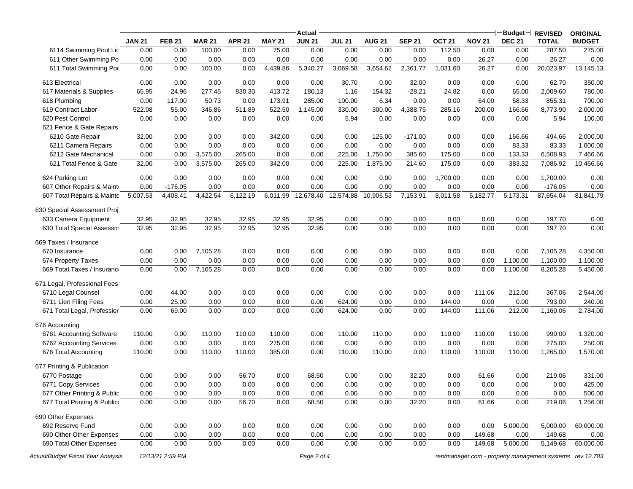|                                    |               |                  |               |               |               | Actual                       |               |               |               |               |               |               |                                                          | <b>ORIGINAL</b> |
|------------------------------------|---------------|------------------|---------------|---------------|---------------|------------------------------|---------------|---------------|---------------|---------------|---------------|---------------|----------------------------------------------------------|-----------------|
|                                    | <b>JAN 21</b> | <b>FEB 21</b>    | <b>MAR 21</b> | <b>APR 21</b> | <b>MAY 21</b> | <b>JUN 21</b>                | <b>JUL 21</b> | <b>AUG 21</b> | <b>SEP 21</b> | <b>OCT 21</b> | <b>NOV 21</b> | <b>DEC 21</b> | <b>TOTAL</b>                                             | <b>BUDGET</b>   |
| 6114 Swimming Pool Lic             | 0.00          | 0.00             | 100.00        | 0.00          | 75.00         | 0.00                         | 0.00          | 0.00          | 0.00          | 112.50        | 0.00          | 0.00          | 287.50                                                   | 275.00          |
| 611 Other Swimming Po              | 0.00          | 0.00             | 0.00          | 0.00          | 0.00          | 0.00                         | 0.00          | 0.00          | 0.00          | 0.00          | 26.27         | 0.00          | 26.27                                                    | 0.00            |
| 611 Total Swimming Pod             | 0.00          | 0.00             | 100.00        | 0.00          | 4,439.86      | 5,340.27                     | 3,069.58      | 3,654.62      | 2,361.77      | 1,031.60      | 26.27         | 0.00          | 20,023.97                                                | 13,145.13       |
| 613 Electrical                     | 0.00          | 0.00             | 0.00          | 0.00          | 0.00          | 0.00                         | 30.70         | 0.00          | 32.00         | 0.00          | 0.00          | 0.00          | 62.70                                                    | 350.00          |
| 617 Materials & Supplies           | 65.95         | 24.96            | 277.45        | 830.30        | 413.72        | 180.13                       | 1.16          | 154.32        | $-28.21$      | 24.82         | 0.00          | 65.00         | 2,009.60                                                 | 780.00          |
| 618 Plumbing                       | 0.00          | 117.00           | 50.73         | 0.00          | 173.91        | 285.00                       | 100.00        | 6.34          | 0.00          | 0.00          | 64.00         | 58.33         | 855.31                                                   | 700.00          |
| 619 Contract Labor                 | 522.08        | 55.00            | 346.86        | 511.89        | 522.50        | 1,145.00                     | 330.00        | 300.00        | 4,388.75      | 285.16        | 200.00        | 166.66        | 8,773.90                                                 | 2,000.00        |
| 620 Pest Control                   | 0.00          | 0.00             | 0.00          | 0.00          | 0.00          | 0.00                         | 5.94          | 0.00          | 0.00          | 0.00          | 0.00          | 0.00          | 5.94                                                     | 100.00          |
| 621 Fence & Gate Repairs           |               |                  |               |               |               |                              |               |               |               |               |               |               |                                                          |                 |
| 6210 Gate Repair                   | 32.00         | 0.00             | 0.00          | 0.00          | 342.00        | 0.00                         | 0.00          | 125.00        | $-171.00$     | 0.00          | 0.00          | 166.66        | 494.66                                                   | 2,000.00        |
| 6211 Camera Repairs                | 0.00          | 0.00             | 0.00          | 0.00          | 0.00          | 0.00                         | 0.00          | 0.00          | 0.00          | 0.00          | 0.00          | 83.33         | 83.33                                                    | 1,000.00        |
| 6212 Gate Mechanical               | 0.00          | 0.00             | 3,575.00      | 265.00        | 0.00          | 0.00                         | 225.00        | 1,750.00      | 385.60        | 175.00        | 0.00          | 133.33        | 6,508.93                                                 | 7,466.66        |
| 621 Total Fence & Gate             | 32.00         | 0.00             | 3,575.00      | 265.00        | 342.00        | 0.00                         | 225.00        | 1,875.00      | 214.60        | 175.00        | 0.00          | 383.32        | 7,086.92                                                 | 10,466.66       |
| 624 Parking Lot                    | 0.00          | 0.00             | 0.00          | 0.00          | 0.00          | 0.00                         | 0.00          | 0.00          | 0.00          | 1,700.00      | 0.00          | 0.00          | 1,700.00                                                 | 0.00            |
| 607 Other Repairs & Maint          | 0.00          | $-176.05$        | 0.00          | 0.00          | 0.00          | 0.00                         | 0.00          | 0.00          | 0.00          | 0.00          | 0.00          | 0.00          | $-176.05$                                                | 0.00            |
| 607 Total Repairs & Mainte         | 5,007.53      | 4,408.41         | 4,422.54      | 6,122.19      |               | 6,011.99 12,678.40 12,574.88 |               | 10,906.53     | 7,153.91      | 8,011.58      | 5,182.77      | 5,173.31      | 87,654.04                                                | 81,841.79       |
| 630 Special Assessment Proj        |               |                  |               |               |               |                              |               |               |               |               |               |               |                                                          |                 |
| 633 Camera Equipment               | 32.95         | 32.95            | 32.95         | 32.95         | 32.95         | 32.95                        | 0.00          | 0.00          | 0.00          | 0.00          | 0.00          | 0.00          | 197.70                                                   | 0.00            |
| 630 Total Special Assessm          | 32.95         | 32.95            | 32.95         | 32.95         | 32.95         | 32.95                        | 0.00          | 0.00          | 0.00          | 0.00          | 0.00          | 0.00          | 197.70                                                   | 0.00            |
| 669 Taxes / Insurance              |               |                  |               |               |               |                              |               |               |               |               |               |               |                                                          |                 |
| 670 Insurance                      | 0.00          | 0.00             | 7,105.28      | 0.00          | 0.00          | 0.00                         | 0.00          | 0.00          | 0.00          | 0.00          | 0.00          | 0.00          | 7,105.28                                                 | 4,350.00        |
| 674 Property Taxes                 | 0.00          | 0.00             | 0.00          | 0.00          | 0.00          | 0.00                         | 0.00          | 0.00          | 0.00          | 0.00          | 0.00          | 1,100.00      | 1,100.00                                                 | 1,100.00        |
| 669 Total Taxes / Insuranc         | 0.00          | 0.00             | 7,105.28      | 0.00          | 0.00          | 0.00                         | 0.00          | 0.00          | 0.00          | 0.00          | 0.00          | 1,100.00      | 8,205.28                                                 | 5,450.00        |
| 671 Legal, Professional Fees       |               |                  |               |               |               |                              |               |               |               |               |               |               |                                                          |                 |
| 6710 Legal Counsel                 | 0.00          | 44.00            | 0.00          | 0.00          | 0.00          | 0.00                         | 0.00          | 0.00          | 0.00          | 0.00          | 111.06        | 212.00        | 367.06                                                   | 2,544.00        |
| 6711 Lien Filing Fees              | 0.00          | 25.00            | 0.00          | 0.00          | 0.00          | 0.00                         | 624.00        | 0.00          | 0.00          | 144.00        | 0.00          | 0.00          | 793.00                                                   | 240.00          |
| 671 Total Legal, Professior        | 0.00          | 69.00            | 0.00          | 0.00          | 0.00          | 0.00                         | 624.00        | 0.00          | 0.00          | 144.00        | 111.06        | 212.00        | 1,160.06                                                 | 2,784.00        |
| 676 Accounting                     |               |                  |               |               |               |                              |               |               |               |               |               |               |                                                          |                 |
| 6761 Accounting Software           | 110.00        | 0.00             | 110.00        | 110.00        | 110.00        | 0.00                         | 110.00        | 110.00        | 0.00          | 110.00        | 110.00        | 110.00        | 990.00                                                   | 1,320.00        |
| 6762 Accounting Services           | 0.00          | 0.00             | 0.00          | 0.00          | 275.00        | 0.00                         | 0.00          | 0.00          | 0.00          | 0.00          | 0.00          | 0.00          | 275.00                                                   | 250.00          |
| 676 Total Accounting               | 110.00        | 0.00             | 110.00        | 110.00        | 385.00        | 0.00                         | 110.00        | 110.00        | 0.00          | 110.00        | 110.00        | 110.00        | 1,265.00                                                 | 1,570.00        |
| 677 Printing & Publication         |               |                  |               |               |               |                              |               |               |               |               |               |               |                                                          |                 |
| 6770 Postage                       | 0.00          | 0.00             | 0.00          | 56.70         | 0.00          | 68.50                        | 0.00          | 0.00          | 32.20         | 0.00          | 61.66         | 0.00          | 219.06                                                   | 331.00          |
| 6771 Copy Services                 | 0.00          | 0.00             | 0.00          | 0.00          | 0.00          | 0.00                         | 0.00          | 0.00          | 0.00          | 0.00          | 0.00          | 0.00          | 0.00                                                     | 425.00          |
| 677 Other Printing & Public        | 0.00          | 0.00             | 0.00          | 0.00          | 0.00          | 0.00                         | 0.00          | 0.00          | 0.00          | 0.00          | 0.00          | 0.00          | 0.00                                                     | 500.00          |
| 677 Total Printing & Publica       | 0.00          | 0.00             | 0.00          | 56.70         | 0.00          | 68.50                        | 0.00          | 0.00          | 32.20         | 0.00          | 61.66         | 0.00          | 219.06                                                   | 1,256.00        |
| 690 Other Expenses                 |               |                  |               |               |               |                              |               |               |               |               |               |               |                                                          |                 |
| 692 Reserve Fund                   | 0.00          | 0.00             | 0.00          | 0.00          | 0.00          | 0.00                         | 0.00          | 0.00          | 0.00          | 0.00          | 0.00          | 5,000.00      | 5,000.00                                                 | 60,000.00       |
| 690 Other Other Expenses           | 0.00          | 0.00             | 0.00          | 0.00          | 0.00          | 0.00                         | 0.00          | 0.00          | 0.00          | 0.00          | 149.68        | 0.00          | 149.68                                                   | 0.00            |
| 690 Total Other Expenses           | 0.00          | 0.00             | 0.00          | 0.00          | 0.00          | 0.00                         | 0.00          | 0.00          | 0.00          | 0.00          | 149.68        | 5,000.00      | 5,149.68                                                 | 60,000.00       |
| Actual/Budget Fiscal Year Analysis |               | 12/13/21 2:59 PM |               |               |               | Page 2 of 4                  |               |               |               |               |               |               | rentmanager.com - property management systems rev.12.783 |                 |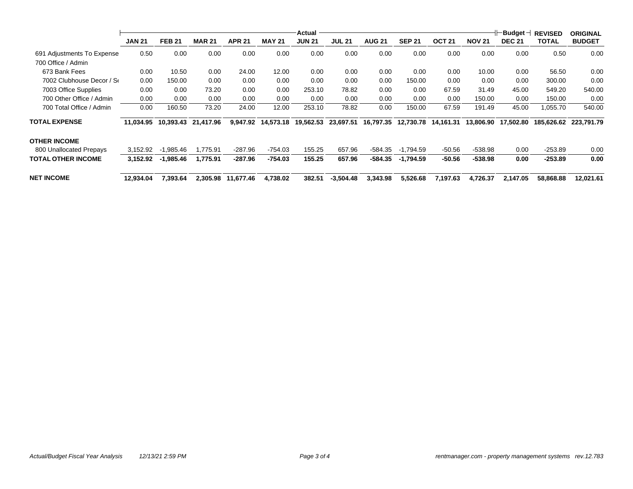|                            | <b>JAN 21</b> | <b>FEB 21</b> | <b>MAR 21</b> | <b>APR 21</b> | <b>MAY 21</b> | <b>Actual</b><br><b>JUN 21</b> | <b>JUL 21</b> | <b>AUG 21</b> | <b>SEP 21</b> | OCT <sub>21</sub> | <b>NOV 21</b> | $\vdash$ Budget $\neg$<br><b>DEC 21</b> | <b>REVISED</b><br><b>TOTAL</b> | <b>ORIGINAL</b><br><b>BUDGET</b> |
|----------------------------|---------------|---------------|---------------|---------------|---------------|--------------------------------|---------------|---------------|---------------|-------------------|---------------|-----------------------------------------|--------------------------------|----------------------------------|
| 691 Adjustments To Expense | 0.50          | 0.00          | 0.00          | 0.00          | 0.00          | 0.00                           | 0.00          | 0.00          | 0.00          | 0.00              | 0.00          | 0.00                                    | 0.50                           | 0.00                             |
| 700 Office / Admin         |               |               |               |               |               |                                |               |               |               |                   |               |                                         |                                |                                  |
| 673 Bank Fees              | 0.00          | 10.50         | 0.00          | 24.00         | 12.00         | 0.00                           | 0.00          | 0.00          | 0.00          | 0.00              | 10.00         | 0.00                                    | 56.50                          | 0.00                             |
| 7002 Clubhouse Decor / Se  | 0.00          | 150.00        | 0.00          | 0.00          | 0.00          | 0.00                           | 0.00          | 0.00          | 150.00        | 0.00              | 0.00          | 0.00                                    | 300.00                         | 0.00                             |
| 7003 Office Supplies       | 0.00          | 0.00          | 73.20         | 0.00          | 0.00          | 253.10                         | 78.82         | 0.00          | 0.00          | 67.59             | 31.49         | 45.00                                   | 549.20                         | 540.00                           |
| 700 Other Office / Admin   | 0.00          | 0.00          | 0.00          | 0.00          | 0.00          | 0.00                           | 0.00          | 0.00          | 0.00          | 0.00              | 150.00        | 0.00                                    | 150.00                         | 0.00                             |
| 700 Total Office / Admin   | 0.00          | 160.50        | 73.20         | 24.00         | 12.00         | 253.10                         | 78.82         | 0.00          | 150.00        | 67.59             | 191.49        | 45.00                                   | 1.055.70                       | 540.00                           |
| <b>TOTAL EXPENSE</b>       | 11.034.95     | 10.393.43     | 21,417.96     | 9,947.92      | 14,573.18     | 19,562.53                      | 23,697.51     | 16,797.35     | 12,730.78     | 14,161.31         | 13,806.90     | 17,502.80                               | 185.626.62                     | 223.791.79                       |
| OTHER INCOME               |               |               |               |               |               |                                |               |               |               |                   |               |                                         |                                |                                  |
| 800 Unallocated Prepays    | 3.152.92      | $-1.985.46$   | .775.91       | $-287.96$     | $-754.03$     | 155.25                         | 657.96        | $-584.35$     | $-1.794.59$   | $-50.56$          | $-538.98$     | 0.00                                    | $-253.89$                      | 0.00                             |
| TOTAL OTHER INCOME         | 3,152.92      | $-1,985.46$   | 1,775.91      | $-287.96$     | $-754.03$     | 155.25                         | 657.96        | -584.35       | $-1,794.59$   | $-50.56$          | $-538.98$     | 0.00                                    | $-253.89$                      | 0.00                             |
| NET INCOME                 | 12.934.04     | 7,393.64      | 2,305.98      | 11,677.46     | 4,738.02      | 382.51                         | $-3,504.48$   | 3,343.98      | 5,526.68      | 7,197.63          | 4,726.37      | 2.147.05                                | 58,868.88                      | 12,021.61                        |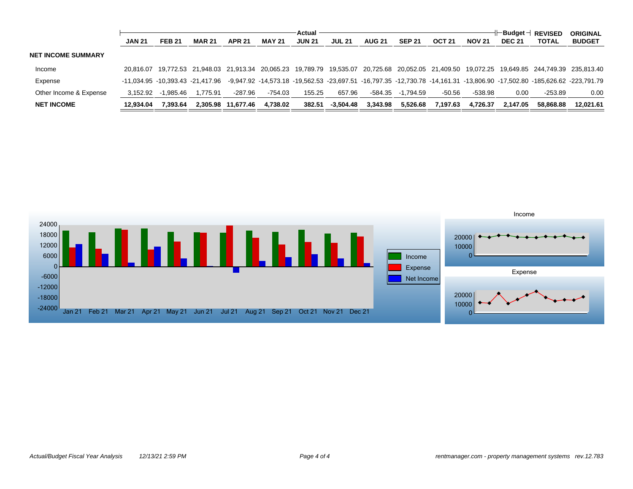|                           |               |               |                                  |                    |               | Actual        |               |               |               |               |               |               | .⊢Budget⊣ REVISED | <b>ORIGINAL</b>                                                                                                                     |
|---------------------------|---------------|---------------|----------------------------------|--------------------|---------------|---------------|---------------|---------------|---------------|---------------|---------------|---------------|-------------------|-------------------------------------------------------------------------------------------------------------------------------------|
|                           | <b>JAN 21</b> | <b>FEB 21</b> | <b>MAR 21</b>                    | <b>APR 21</b>      | <b>MAY 21</b> | <b>JUN 21</b> | <b>JUL 21</b> | <b>AUG 21</b> | <b>SEP 21</b> | <b>OCT 21</b> | <b>NOV 21</b> | <b>DEC 21</b> | <b>TOTAL</b>      | <b>BUDGET</b>                                                                                                                       |
| <b>NET INCOME SUMMARY</b> |               |               |                                  |                    |               |               |               |               |               |               |               |               |                   |                                                                                                                                     |
| Income                    | 20.816.07     |               |                                  |                    |               |               |               |               |               |               |               |               |                   | 19,772.53 21,948.03 21,913.34 20,065.23 19,789.79 19,535.07 20,725.68 20,052.05 21,409.50 19,072.25 19,649.85 244,749.39 235,813.40 |
| Expense                   |               |               | -11.034.95 -10.393.43 -21.417.96 |                    |               |               |               |               |               |               |               |               |                   | -9,947.92 -14,573.18 -19,562.53 -23,697.51 -16,797.35 -12,730.78 -14,161.31 -13,806.90 -17,502.80 -185,626.62 -223,791.79           |
| Other Income & Expense    | 3.152.92      | $-1.985.46$   | 1.775.91                         | $-287.96$          | $-754.03$     | 155.25        | 657.96        | $-584.35$     | -1.794.59     | $-50.56$      | $-538.98$     | 0.00          | $-253.89$         | 0.00                                                                                                                                |
| <b>NET INCOME</b>         | 12.934.04     | 7.393.64      |                                  | 2.305.98 11.677.46 | 4.738.02      | 382.51        | -3.504.48     | 3.343.98      | 5.526.68      | 7.197.63      | 4.726.37      | 2.147.05      | 58.868.88         | 12.021.61                                                                                                                           |

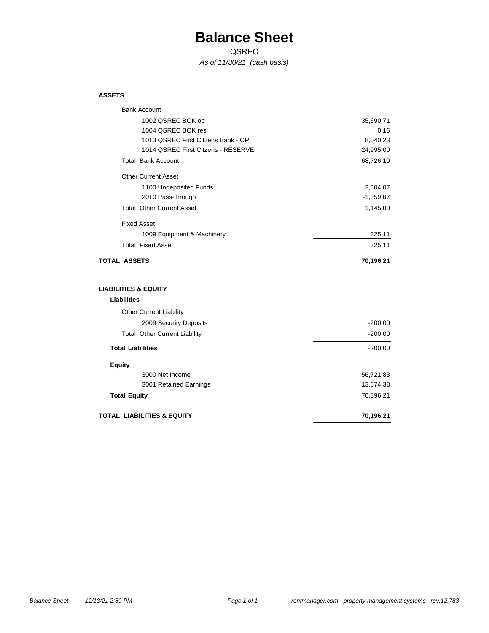### **Balance Sheet**

QSREC

*As of 11/30/21 (cash basis)*

#### **ASSETS**

| <b>Bank Account</b>                  |             |
|--------------------------------------|-------------|
| 1002 QSREC BOK op                    | 35,690.71   |
| 1004 QSREC BOK res                   | 0.16        |
| 1013 QSREC First Citzens Bank - OP   | 8,040.23    |
| 1014 QSREC First Citzens - RESERVE   | 24,995.00   |
| <b>Total Bank Account</b>            | 68,726.10   |
| <b>Other Current Asset</b>           |             |
| 1100 Undeposited Funds               | 2,504.07    |
| 2010 Pass-through                    | $-1,359.07$ |
| <b>Total Other Current Asset</b>     | 1,145.00    |
| <b>Fixed Asset</b>                   |             |
| 1009 Equipment & Machinery           | 325.11      |
| <b>Total Fixed Asset</b>             | 325.11      |
| <b>TOTAL ASSETS</b>                  | 70,196.21   |
| <b>LIABILITIES &amp; EQUITY</b>      |             |
| <b>Liabilities</b>                   |             |
| <b>Other Current Liability</b>       |             |
| 2009 Security Deposits               | $-200.00$   |
|                                      |             |
| <b>Total Other Current Liability</b> | $-200.00$   |
| <b>Total Liabilities</b>             | $-200.00$   |
| <b>Equity</b>                        |             |
| 3000 Net Income                      | 56,721.83   |
| 3001 Retained Earnings               | 13,674.38   |
| <b>Total Equity</b>                  | 70,396.21   |

 $\equiv$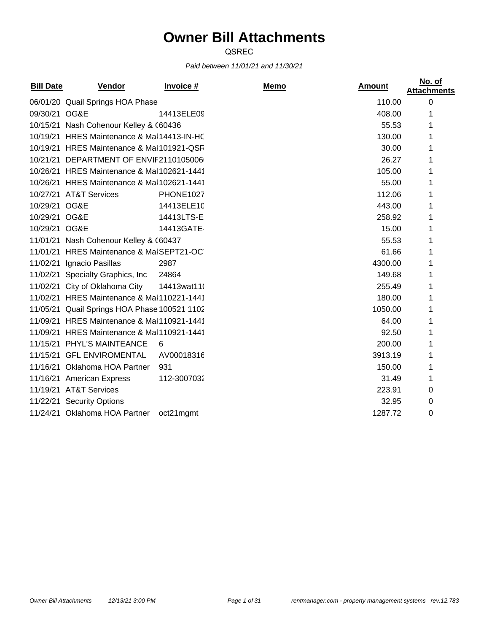# **Owner Bill Attachments**

QSREC

### *Paid between 11/01/21 and 11/30/21*

| <b>Bill Date</b><br><b>Vendor</b> | <b>Invoice #</b> | Memo                                                                                                                                                                                                                                                                                                                                                                                                                                                                                                                                                                                        | <b>Amount</b> | No. of<br><b>Attachments</b> |
|-----------------------------------|------------------|---------------------------------------------------------------------------------------------------------------------------------------------------------------------------------------------------------------------------------------------------------------------------------------------------------------------------------------------------------------------------------------------------------------------------------------------------------------------------------------------------------------------------------------------------------------------------------------------|---------------|------------------------------|
|                                   |                  |                                                                                                                                                                                                                                                                                                                                                                                                                                                                                                                                                                                             | 110.00        | $\Omega$                     |
| 09/30/21 OG&E                     | 14413ELE09       |                                                                                                                                                                                                                                                                                                                                                                                                                                                                                                                                                                                             | 408.00        |                              |
|                                   |                  |                                                                                                                                                                                                                                                                                                                                                                                                                                                                                                                                                                                             | 55.53         |                              |
|                                   |                  |                                                                                                                                                                                                                                                                                                                                                                                                                                                                                                                                                                                             | 130.00        |                              |
|                                   |                  |                                                                                                                                                                                                                                                                                                                                                                                                                                                                                                                                                                                             | 30.00         |                              |
|                                   |                  |                                                                                                                                                                                                                                                                                                                                                                                                                                                                                                                                                                                             | 26.27         |                              |
|                                   |                  |                                                                                                                                                                                                                                                                                                                                                                                                                                                                                                                                                                                             | 105.00        |                              |
|                                   |                  |                                                                                                                                                                                                                                                                                                                                                                                                                                                                                                                                                                                             | 55.00         |                              |
| 10/27/21 AT&T Services            | PHONE1027        |                                                                                                                                                                                                                                                                                                                                                                                                                                                                                                                                                                                             | 112.06        |                              |
| 10/29/21 OG&E                     | 14413ELE10       |                                                                                                                                                                                                                                                                                                                                                                                                                                                                                                                                                                                             | 443.00        |                              |
| 10/29/21 OG&E                     | 14413LTS-E       |                                                                                                                                                                                                                                                                                                                                                                                                                                                                                                                                                                                             | 258.92        |                              |
| 10/29/21 OG&E                     | 14413GATE-       |                                                                                                                                                                                                                                                                                                                                                                                                                                                                                                                                                                                             | 15.00         |                              |
|                                   |                  |                                                                                                                                                                                                                                                                                                                                                                                                                                                                                                                                                                                             | 55.53         |                              |
|                                   |                  |                                                                                                                                                                                                                                                                                                                                                                                                                                                                                                                                                                                             | 61.66         |                              |
| 11/02/21<br>Ignacio Pasillas      | 2987             |                                                                                                                                                                                                                                                                                                                                                                                                                                                                                                                                                                                             | 4300.00       |                              |
| 11/02/21 Specialty Graphics, Inc  | 24864            |                                                                                                                                                                                                                                                                                                                                                                                                                                                                                                                                                                                             | 149.68        |                              |
| 11/02/21 City of Oklahoma City    | 14413wat11(      |                                                                                                                                                                                                                                                                                                                                                                                                                                                                                                                                                                                             | 255.49        |                              |
|                                   |                  |                                                                                                                                                                                                                                                                                                                                                                                                                                                                                                                                                                                             | 180.00        |                              |
|                                   |                  |                                                                                                                                                                                                                                                                                                                                                                                                                                                                                                                                                                                             | 1050.00       | 1                            |
|                                   |                  |                                                                                                                                                                                                                                                                                                                                                                                                                                                                                                                                                                                             | 64.00         |                              |
|                                   |                  |                                                                                                                                                                                                                                                                                                                                                                                                                                                                                                                                                                                             | 92.50         | 1                            |
| 11/15/21 PHYL'S MAINTEANCE        | 6                |                                                                                                                                                                                                                                                                                                                                                                                                                                                                                                                                                                                             | 200.00        | 1                            |
| 11/15/21 GFL ENVIROMENTAL         | AV00018316       |                                                                                                                                                                                                                                                                                                                                                                                                                                                                                                                                                                                             | 3913.19       | 1                            |
| 11/16/21 Oklahoma HOA Partner     | 931              |                                                                                                                                                                                                                                                                                                                                                                                                                                                                                                                                                                                             | 150.00        | 1                            |
| 11/16/21 American Express         | 112-3007032      |                                                                                                                                                                                                                                                                                                                                                                                                                                                                                                                                                                                             | 31.49         | 1                            |
| 11/19/21 AT&T Services            |                  |                                                                                                                                                                                                                                                                                                                                                                                                                                                                                                                                                                                             | 223.91        | 0                            |
| 11/22/21 Security Options         |                  |                                                                                                                                                                                                                                                                                                                                                                                                                                                                                                                                                                                             | 32.95         | 0                            |
| 11/24/21 Oklahoma HOA Partner     | oct21mgmt        |                                                                                                                                                                                                                                                                                                                                                                                                                                                                                                                                                                                             | 1287.72       | 0                            |
|                                   |                  | 06/01/20 Quail Springs HOA Phase<br>10/15/21 Nash Cohenour Kelley & (60436<br>10/19/21 HRES Maintenance & Mal14413-IN-HC<br>10/19/21 HRES Maintenance & Mal101921-QSR<br>10/21/21 DEPARTMENT OF ENVIF2110105006<br>10/26/21 HRES Maintenance & Mal102621-1441<br>10/26/21 HRES Maintenance & Mal102621-1441<br>11/01/21 Nash Cohenour Kelley & (60437<br>11/01/21 HRES Maintenance & MalSEPT21-OC<br>11/02/21 HRES Maintenance & Mal110221-1441<br>11/05/21 Quail Springs HOA Phase 100521 1102<br>11/09/21 HRES Maintenance & Mal110921-1441<br>11/09/21 HRES Maintenance & Mal110921-1441 |               |                              |